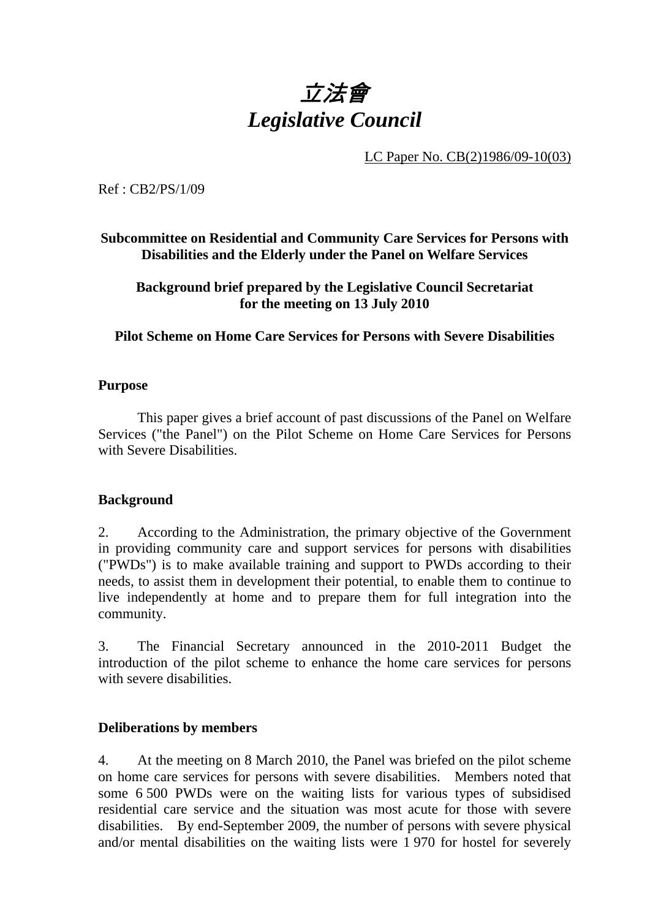# 立法會 *Legislative Council*

LC Paper No. CB(2)1986/09-10(03)

Ref : CB2/PS/1/09

**Subcommittee on Residential and Community Care Services for Persons with Disabilities and the Elderly under the Panel on Welfare Services** 

**Background brief prepared by the Legislative Council Secretariat for the meeting on 13 July 2010** 

**Pilot Scheme on Home Care Services for Persons with Severe Disabilities** 

### **Purpose**

This paper gives a brief account of past discussions of the Panel on Welfare Services ("the Panel") on the Pilot Scheme on Home Care Services for Persons with Severe Disabilities.

## **Background**

2. According to the Administration, the primary objective of the Government in providing community care and support services for persons with disabilities ("PWDs") is to make available training and support to PWDs according to their needs, to assist them in development their potential, to enable them to continue to live independently at home and to prepare them for full integration into the community.

3. The Financial Secretary announced in the 2010-2011 Budget the introduction of the pilot scheme to enhance the home care services for persons with severe disabilities.

### **Deliberations by members**

4. At the meeting on 8 March 2010, the Panel was briefed on the pilot scheme on home care services for persons with severe disabilities. Members noted that some 6,500 PWDs were on the waiting lists for various types of subsidised residential care service and the situation was most acute for those with severe disabilities. By end-September 2009, the number of persons with severe physical and/or mental disabilities on the waiting lists were 1,970 for hostel for severely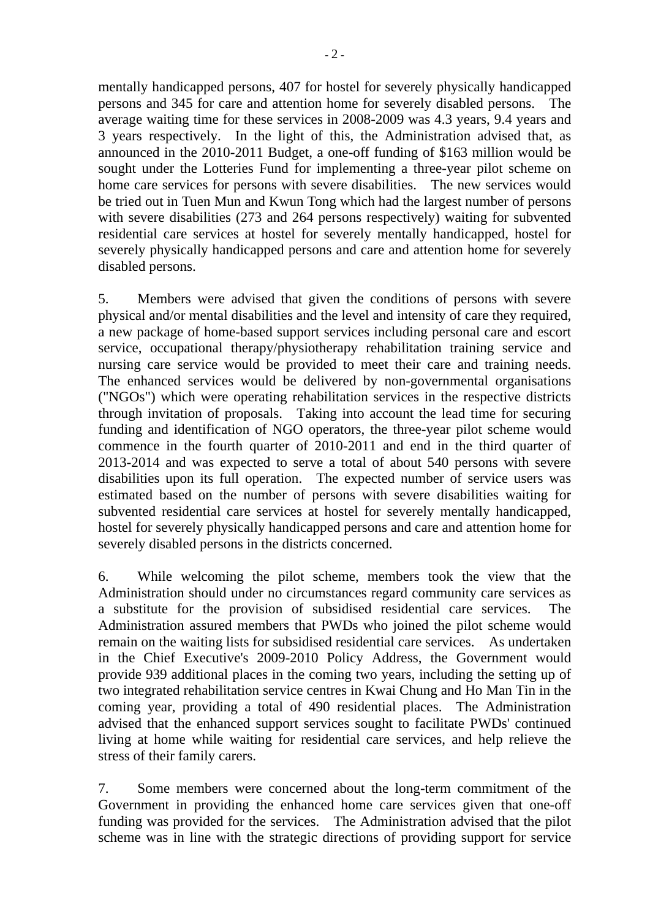mentally handicapped persons, 407 for hostel for severely physically handicapped persons and 345 for care and attention home for severely disabled persons. The average waiting time for these services in 2008-2009 was 4.3 years, 9.4 years and 3 years respectively. In the light of this, the Administration advised that, as announced in the 2010-2011 Budget, a one-off funding of \$163 million would be sought under the Lotteries Fund for implementing a three-year pilot scheme on home care services for persons with severe disabilities. The new services would be tried out in Tuen Mun and Kwun Tong which had the largest number of persons

with severe disabilities (273 and 264 persons respectively) waiting for subvented residential care services at hostel for severely mentally handicapped, hostel for severely physically handicapped persons and care and attention home for severely disabled persons.

5. Members were advised that given the conditions of persons with severe physical and/or mental disabilities and the level and intensity of care they required, a new package of home-based support services including personal care and escort service, occupational therapy/physiotherapy rehabilitation training service and nursing care service would be provided to meet their care and training needs. The enhanced services would be delivered by non-governmental organisations ("NGOs") which were operating rehabilitation services in the respective districts through invitation of proposals. Taking into account the lead time for securing funding and identification of NGO operators, the three-year pilot scheme would commence in the fourth quarter of 2010-2011 and end in the third quarter of 2013-2014 and was expected to serve a total of about 540 persons with severe disabilities upon its full operation. The expected number of service users was estimated based on the number of persons with severe disabilities waiting for subvented residential care services at hostel for severely mentally handicapped, hostel for severely physically handicapped persons and care and attention home for severely disabled persons in the districts concerned.

6. While welcoming the pilot scheme, members took the view that the Administration should under no circumstances regard community care services as a substitute for the provision of subsidised residential care services. The Administration assured members that PWDs who joined the pilot scheme would remain on the waiting lists for subsidised residential care services. As undertaken in the Chief Executive's 2009-2010 Policy Address, the Government would provide 939 additional places in the coming two years, including the setting up of two integrated rehabilitation service centres in Kwai Chung and Ho Man Tin in the coming year, providing a total of 490 residential places. The Administration advised that the enhanced support services sought to facilitate PWDs' continued living at home while waiting for residential care services, and help relieve the stress of their family carers.

7. Some members were concerned about the long-term commitment of the Government in providing the enhanced home care services given that one-off funding was provided for the services. The Administration advised that the pilot scheme was in line with the strategic directions of providing support for service